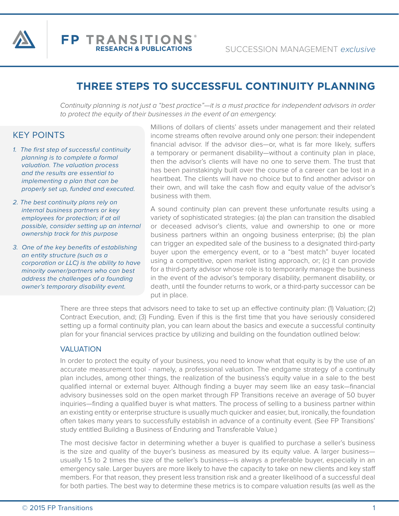

# **THREE STEPS TO SUCCESSFUL CONTINUITY PLANNING**

*Continuity planning is not just a "best practice"—it is a must practice for independent advisors in order to protect the equity of their businesses in the event of an emergency.*

# KEY POINTS

- *1. The first step of successful continuity planning is to complete a formal valuation. The valuation process and the results are essential to implementing a plan that can be properly set up, funded and executed.*
- *2. The best continuity plans rely on internal business partners or key employees for protection; if at all possible, consider setting up an internal ownership track for this purpose*
- *3. One of the key benefits of establishing an entity structure (such as a corporation or LLC) is the ability to have minority owner/partners who can best address the challenges of a founding owner's temporary disability event.*

Millions of dollars of clients' assets under management and their related income streams often revolve around only one person: their independent financial advisor. If the advisor dies—or, what is far more likely, suffers a temporary or permanent disability—without a continuity plan in place, then the advisor's clients will have no one to serve them. The trust that has been painstakingly built over the course of a career can be lost in a heartbeat. The clients will have no choice but to find another advisor on their own, and will take the cash flow and equity value of the advisor's business with them.

A sound continuity plan can prevent these unfortunate results using a variety of sophisticated strategies: (a) the plan can transition the disabled or deceased advisor's clients, value and ownership to one or more business partners within an ongoing business enterprise; (b) the plan can trigger an expedited sale of the business to a designated third-party buyer upon the emergency event, or to a "best match" buyer located using a competitive, open market listing approach, or; (c) it can provide for a third-party advisor whose role is to temporarily manage the business in the event of the advisor's temporary disability, permanent disability, or death, until the founder returns to work, or a third-party successor can be put in place.

There are three steps that advisors need to take to set up an effective continuity plan: (1) Valuation; (2) Contract Execution, and; (3) Funding. Even if this is the first time that you have seriously considered setting up a formal continuity plan, you can learn about the basics and execute a successful continuity plan for your financial services practice by utilizing and building on the foundation outlined below:

#### VALUATION

In order to protect the equity of your business, you need to know what that equity is by the use of an accurate measurement tool - namely, a professional valuation. The endgame strategy of a continuity plan includes, among other things, the realization of the business's equity value in a sale to the best qualified internal or external buyer. Although finding a buyer may seem like an easy task—financial advisory businesses sold on the open market through FP Transitions receive an average of 50 buyer inquiries—finding a qualified buyer is what matters. The process of selling to a business partner within an existing entity or enterprise structure is usually much quicker and easier, but, ironically, the foundation often takes many years to successfully establish in advance of a continuity event. (See FP Transitions' study entitled Building a Business of Enduring and Transferable Value.)

The most decisive factor in determining whether a buyer is qualified to purchase a seller's business is the size and quality of the buyer's business as measured by its equity value. A larger businessusually 1.5 to 2 times the size of the seller's business—is always a preferable buyer, especially in an emergency sale. Larger buyers are more likely to have the capacity to take on new clients and key staff members. For that reason, they present less transition risk and a greater likelihood of a successful deal for both parties. The best way to determine these metrics is to compare valuation results (as well as the